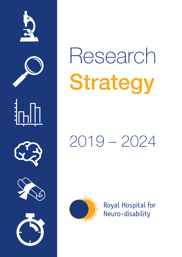

# Research Strategy

## 2019 – 2024



Royal Hospital for Neuro-disability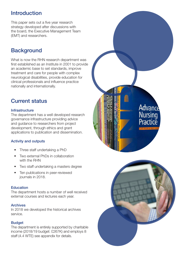## Introduction

This paper sets out a five year research strategy developed after discussions with the board, the Executive Management Team (EMT) and researchers.

## **Background**

What is now the RHN research department was first established as an Institute in 2001 to provide an academic base to set standards, improve treatment and care for people with complex neurological disabilities, provide education for clinical professionals and influence practice nationally and internationally.

## Current status

#### **Infrastructure**

The department has a well developed research governance infrastructure providing advice and guidance to researchers from project development, through ethics and grant applications to publication and dissemination.

#### Activity and outputs

- Three staff undertaking a PhD
- Two external PhDs in collaboration with the RHN
- Two staff undertaking a masters degree
- Ten publications in peer-reviewed journals in 2018.

#### **Education**

The department hosts a number of well received external courses and lectures each year.

#### Archives

In 2018 we developed the historical archives service.

#### **Budget**

The department is entirely supported by charitable income (2018/19 budget: £267K) and employs 8 staff (4.4 WTE) see appendix for details.



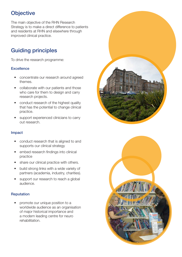## **Objective**

The main objective of the RHN Research Strategy is to make a direct difference to patients and residents at RHN and elsewhere through improved clinical practice.

## Guiding principles

To drive the research programme:

#### **Excellence**

- concentrate our research around agreed themes.
- collaborate with our patients and those who care for them to design and carry research projects.
- conduct research of the highest quality that has the potential to change clinical practice.
- support experienced clinicians to carry out research.

#### Impact

- conduct research that is aligned to and supports our clinical strategy
- embed research findings into clinical practice
- share our clinical practice with others.
- build strong links with a wide variety of partners (academia, industry, charities).
- support our research to reach a global audience.

#### Reputation

• promote our unique position to a worldwide audience as an organisation of major historical importance and a modern leading centre for neuro rehabilitation.



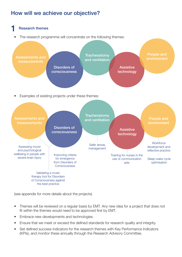## How will we achieve our objective?



(see appendix for more details about the projects)

- Themes will be reviewed on a regular basis by EMT. Any new idea for a project that does not fit within the themes would need to be approved first by EMT.
- Embrace new developments and technologies.
- Ensure that we meet or exceed the defined standards for research quality and integrity.
- Set defined success indicators for the research themes with Key Performance Indicators (KPIs), and monitor these annually through the Research Advisory Committee.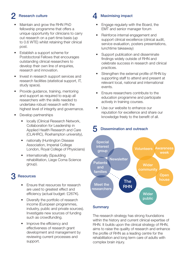## **Research culture**

- Maintain and grow the RHN PhD fellowship programme that offers a unique opportunity for clinicians to carry out research on a part-time basis (up to 0.6 WTE) whilst retaining their clinical post.
- Establish a support scheme for Postdoctoral Fellows that encourages outstanding clinical researchers to develop their own line of enquiries, research and innovation.
- Invest in research support services and research facilities (statistical support, IT, study space).
- Provide guidance, training, mentoring and support as required to equip all researchers with the skills needed to undertake robust research with the highest level of integrity and governance.
- Develop partnerships
	- locally (Clinical Research Network, Collaboration for Leadership in Applied Health Research and Care (CLAHRC), Roehampton university),
	- nationally (Huntington Disease Association, Imperial College London, Royal College of Physicians)
	- internationally (Spaulding rehabilitation, Liege Coma Science group).

## **Resources**

- Ensure that resources for research are used to greatest effect and efficiency (actual budget: £267K).
- Diversify the portfolio of research income (European programmes, industry, public and private sources). Investigate new sources of funding such as crowdfunding.
- Improve the efficiency and effectiveness of research grant development and management by reviewing current processes and support.

## **Maximising impact**

- Engage regularly with the Board, the EMT and senior manager forum
- Reinforce internal engagement and support clinical excellence (clinical audit, service evaluation, posters presentations, lunchtime takeaway)
- Support publication and disseminate findings widely outside of RHN and celebrate success in research and clinical practices.
- Strengthen the external profile of RHN by supporting staff to attend and present at relevant local, national and international events.
- Ensure researchers contribute to the education programme and participate actively in training courses.
- Use our website to enhance our reputation for excellence and share our knowledge freely to the benefit of all.

## Dissemination and outreach



## **Summary**

The research strategy has strong foundations within the history and current clinical expertise of RHN. It builds upon the clinical strategy of RHN, aims to raise the quality of research and enhance the profile of RHN as a leading centre for the rehabilitation and long term care of adults with complex brain injury.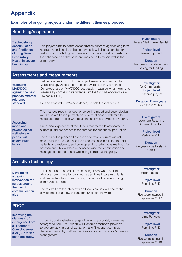## Appendix

#### Examples of ongoing projects under the different themes proposed

### Breathing/respiration

**Tracheostomy** decannulation and Prediction of Long Term **Respiratory** Health in severe brain injury.

This project aims to define decannulation success against long term respiratory and quality of life outcomes. It will also explore better methods for predicting outcome and improve our ability to establish the enhanced care that someone may need to remain well in the community.

Investigators Teresa Clark, Luke Rendell

> Project level Research project

**Duration** Two years (not started yetlooking for funding)

#### Assessments and measurements

| Validating<br><b>MATADOC</b><br>against the best<br>practice external<br>reference<br>standard. | Building on previous work, this project seeks to ensure that the<br>Music Therapy Assessment Tool for Awareness in Disorders of<br>Consciousness or "MATADOC accurately measures what it claims to<br>measure by comparing its findings with the Coma-Recovery Scale<br>Revised (CRS-R).<br>Collaboration with Dr Wendy Magee, Temple University, USA                                                                                                                                              | Investigator<br>Dr Kudret Yelden<br><b>Project level</b><br>Research project<br><b>Duration: Three years</b><br>(started in 2018) |
|-------------------------------------------------------------------------------------------------|----------------------------------------------------------------------------------------------------------------------------------------------------------------------------------------------------------------------------------------------------------------------------------------------------------------------------------------------------------------------------------------------------------------------------------------------------------------------------------------------------|-----------------------------------------------------------------------------------------------------------------------------------|
| <b>Assessing</b><br>mood and<br>psychological<br>wellbeing in<br>people with<br>severe brain    | The methods recommended for screening mood and psychological<br>well-being are based primarily on studies of people with mild to<br>moderate brain injuries who retain the ability to provide self-reports.<br>Our clinical experience at the RHN is that methods advocated in<br>current guidelines are not fit for purpose for our clinical population.<br>The aims of the proposed project are to review current clinical<br>practice in this area, expand the evidence base in relation to RHN | <b>Investigators</b><br>Alexandra Rose and<br>Dr Sarah Crawford<br><b>Project level</b><br>Part-time PhD<br><b>Duration</b>       |
| injury                                                                                          | patients and residents, and develop and trial alternative methods for<br>assessment. This will then re-conceptualise the identification and<br>management of mood and well-being in this patient group.                                                                                                                                                                                                                                                                                            | Five years (due to start in<br>2019)                                                                                              |

#### Assistive technology

Developing a training intervention for nurses around the use of communication aids

This is a mixed-method study exploring the views of patients who use communication aids, nurses and healthcare Assistants staff, regarding the current training nursing staff receive in using communication aids.

The results from the interviews and focus groups will lead to the development of a new training for nurses on the wards.

Investigator Helen Paterson

Project level Part-time PhD

**Duration** Five years (started in September 2017)

#### PDOC

Improving the diagnosis of emergence from a Disorder of **Consciousness** (DoC) – a mixed methods study.

To identify and evaluate a range of tasks to accurately determine emergence from DoC, which will (i) enable healthcare providers to appropriately target rehabilitation, and (ii) support complex decision making by staff and families around an individual's care and management.

**Investigator** Amy Pundole

Project level Part-time PhD

**Duration** Five years (started in September 2018)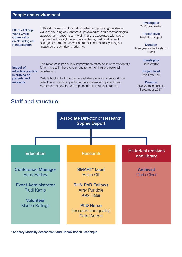#### People and environment

Effect of Sleep-Wake Cycle **Optimization** on Neurological **Rehabilitation** 

In this study we wish to establish whether optimising the sleepwake cycle using environmental, physiological and pharmacological approaches in patients with brain injury is associated with overall improvement of daytime arousal/ vigilance, participation and engagement, mood, as well as clinical and neurophysiological measures of cognitive functioning.

Investigator Dr Kudret Yelden

Project level Post doc project

**Duration** Three years (due to start in 2019)

> Investigator Della Warren

Project level Part time PhD

**Duration** Five years (started in September 2017)

Impact of reflective practice registration. in nursing on patients and residents

This research is particularly important as reflection is now mandatory for all nurses in the UK as a requirement of their professional

Della is hoping to fill the gap in available evidence to support how reflection in nursing impacts on the experience of patients and residents and how to best implement this in clinical practice.

## Staff and structure



Sensory Modality Assessment and Rehabilitation Technique